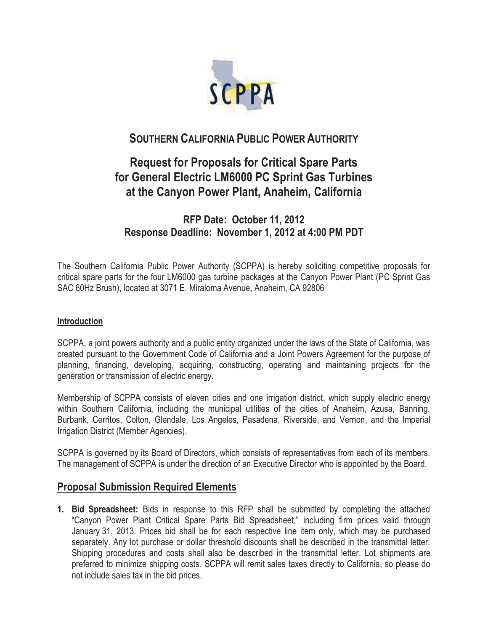

## **SOUTHERN CALIFORNIA PUBLIC POWER AUTHORITY**

# **Request for Proposals for Critical Spare Parts for General Electric LM6000 PC Sprint Gas Turbines at the Canyon Power Plant, Anaheim, California**

## **RFP Date: October 11, 2012 Response Deadline: November 1, 2012 at 4:00 PM PDT**

The Southern California Public Power Authority (SCPPA) is hereby soliciting competitive proposals for critical spare parts for the four LM6000 gas turbine packages at the Canyon Power Plant (PC Sprint Gas SAC 60Hz Brush), located at 3071 E. Miraloma Avenue, Anaheim, CA 92806

#### **Introduction**

SCPPA, a joint powers authority and a public entity organized under the laws of the State of California, was created pursuant to the Government Code of California and a Joint Powers Agreement for the purpose of planning, financing, developing, acquiring, constructing, operating and maintaining projects for the generation or transmission of electric energy.

Membership of SCPPA consists of eleven cities and one irrigation district, which supply electric energy within Southern California, including the municipal utilities of the cities of Anaheim, Azusa, Banning, Burbank, Cerritos, Colton, Glendale, Los Angeles, Pasadena, Riverside, and Vernon, and the Imperial Irrigation District (Member Agencies).

SCPPA is governed by its Board of Directors, which consists of representatives from each of its members. The management of SCPPA is under the direction of an Executive Director who is appointed by the Board.

#### **Proposal Submission Required Elements**

**1. Bid Spreadsheet:** Bids in response to this RFP shall be submitted by completing the attached "Canyon Power Plant Critical Spare Parts Bid Spreadsheet," including firm prices valid through January 31, 2013. Prices bid shall be for each respective line item only, which may be purchased separately. Any lot purchase or dollar threshold discounts shall be described in the transmittal letter. Shipping procedures and costs shall also be described in the transmittal letter. Lot shipments are preferred to minimize shipping costs. SCPPA will remit sales taxes directly to California, so please do not include sales tax in the bid prices.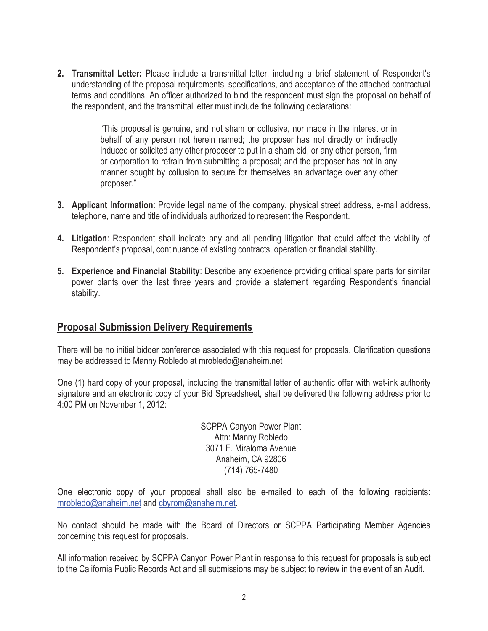**2. Transmittal Letter:** Please include a transmittal letter, including a brief statement of Respondent's understanding of the proposal requirements, specifications, and acceptance of the attached contractual terms and conditions. An officer authorized to bind the respondent must sign the proposal on behalf of the respondent, and the transmittal letter must include the following declarations:

> "This proposal is genuine, and not sham or collusive, nor made in the interest or in behalf of any person not herein named; the proposer has not directly or indirectly induced or solicited any other proposer to put in a sham bid, or any other person, firm or corporation to refrain from submitting a proposal; and the proposer has not in any manner sought by collusion to secure for themselves an advantage over any other proposer."

- **3. Applicant Information**: Provide legal name of the company, physical street address, e-mail address, telephone, name and title of individuals authorized to represent the Respondent.
- **4. Litigation**: Respondent shall indicate any and all pending litigation that could affect the viability of Respondent's proposal, continuance of existing contracts, operation or financial stability.
- **5. Experience and Financial Stability**: Describe any experience providing critical spare parts for similar power plants over the last three years and provide a statement regarding Respondent's financial stability.

#### **Proposal Submission Delivery Requirements**

There will be no initial bidder conference associated with this request for proposals. Clarification questions may be addressed to Manny Robledo at mrobledo@anaheim.net

One (1) hard copy of your proposal, including the transmittal letter of authentic offer with wet-ink authority signature and an electronic copy of your Bid Spreadsheet, shall be delivered the following address prior to 4:00 PM on November 1, 2012:

> SCPPA Canyon Power Plant Attn: Manny Robledo 3071 E. Miraloma Avenue Anaheim, CA 92806 (714) 765-7480

One electronic copy of your proposal shall also be e-mailed to each of the following recipients: mrobledo@anaheim.net and cbyrom@anaheim.net.

No contact should be made with the Board of Directors or SCPPA Participating Member Agencies concerning this request for proposals.

All information received by SCPPA Canyon Power Plant in response to this request for proposals is subject to the California Public Records Act and all submissions may be subject to review in the event of an Audit.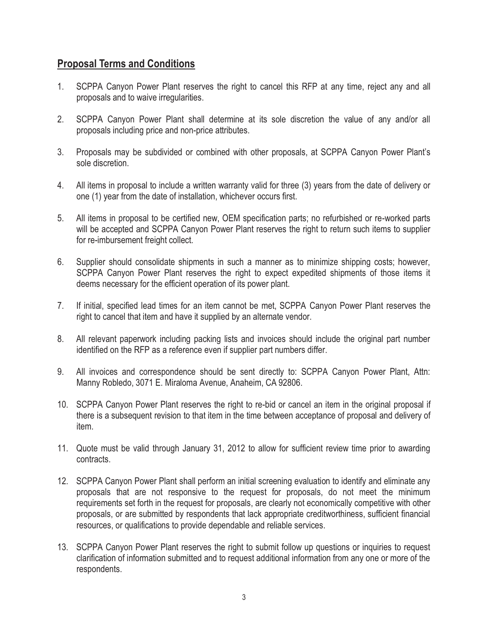#### **Proposal Terms and Conditions**

- 1. SCPPA Canyon Power Plant reserves the right to cancel this RFP at any time, reject any and all proposals and to waive irregularities.
- 2. SCPPA Canyon Power Plant shall determine at its sole discretion the value of any and/or all proposals including price and non-price attributes.
- 3. Proposals may be subdivided or combined with other proposals, at SCPPA Canyon Power Plant's sole discretion.
- 4. All items in proposal to include a written warranty valid for three (3) years from the date of delivery or one (1) year from the date of installation, whichever occurs first.
- 5. All items in proposal to be certified new, OEM specification parts; no refurbished or re-worked parts will be accepted and SCPPA Canyon Power Plant reserves the right to return such items to supplier for re-imbursement freight collect.
- 6. Supplier should consolidate shipments in such a manner as to minimize shipping costs; however, SCPPA Canyon Power Plant reserves the right to expect expedited shipments of those items it deems necessary for the efficient operation of its power plant.
- 7. If initial, specified lead times for an item cannot be met, SCPPA Canyon Power Plant reserves the right to cancel that item and have it supplied by an alternate vendor.
- 8. All relevant paperwork including packing lists and invoices should include the original part number identified on the RFP as a reference even if supplier part numbers differ.
- 9. All invoices and correspondence should be sent directly to: SCPPA Canyon Power Plant, Attn: Manny Robledo, 3071 E. Miraloma Avenue, Anaheim, CA 92806.
- 10. SCPPA Canyon Power Plant reserves the right to re-bid or cancel an item in the original proposal if there is a subsequent revision to that item in the time between acceptance of proposal and delivery of item.
- 11. Quote must be valid through January 31, 2012 to allow for sufficient review time prior to awarding contracts.
- 12. SCPPA Canyon Power Plant shall perform an initial screening evaluation to identify and eliminate any proposals that are not responsive to the request for proposals, do not meet the minimum requirements set forth in the request for proposals, are clearly not economically competitive with other proposals, or are submitted by respondents that lack appropriate creditworthiness, sufficient financial resources, or qualifications to provide dependable and reliable services.
- 13. SCPPA Canyon Power Plant reserves the right to submit follow up questions or inquiries to request clarification of information submitted and to request additional information from any one or more of the respondents.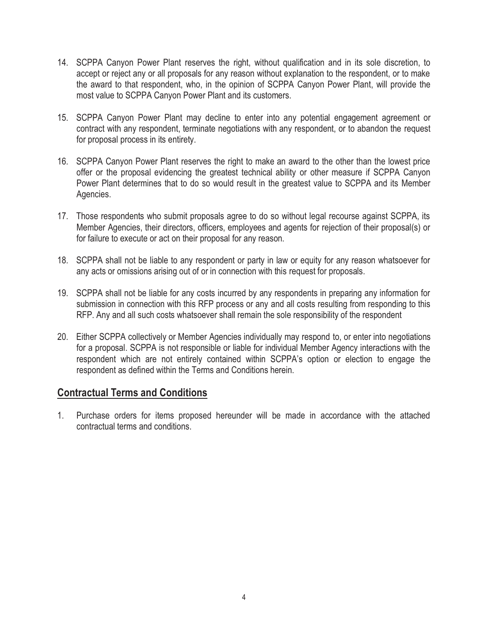- 14. SCPPA Canyon Power Plant reserves the right, without qualification and in its sole discretion, to accept or reject any or all proposals for any reason without explanation to the respondent, or to make the award to that respondent, who, in the opinion of SCPPA Canyon Power Plant, will provide the most value to SCPPA Canyon Power Plant and its customers.
- 15. SCPPA Canyon Power Plant may decline to enter into any potential engagement agreement or contract with any respondent, terminate negotiations with any respondent, or to abandon the request for proposal process in its entirety.
- 16. SCPPA Canyon Power Plant reserves the right to make an award to the other than the lowest price offer or the proposal evidencing the greatest technical ability or other measure if SCPPA Canyon Power Plant determines that to do so would result in the greatest value to SCPPA and its Member Agencies.
- 17. Those respondents who submit proposals agree to do so without legal recourse against SCPPA, its Member Agencies, their directors, officers, employees and agents for rejection of their proposal(s) or for failure to execute or act on their proposal for any reason.
- 18. SCPPA shall not be liable to any respondent or party in law or equity for any reason whatsoever for any acts or omissions arising out of or in connection with this request for proposals.
- 19. SCPPA shall not be liable for any costs incurred by any respondents in preparing any information for submission in connection with this RFP process or any and all costs resulting from responding to this RFP. Any and all such costs whatsoever shall remain the sole responsibility of the respondent
- 20. Either SCPPA collectively or Member Agencies individually may respond to, or enter into negotiations for a proposal. SCPPA is not responsible or liable for individual Member Agency interactions with the respondent which are not entirely contained within SCPPA's option or election to engage the respondent as defined within the Terms and Conditions herein.

### **Contractual Terms and Conditions**

1. Purchase orders for items proposed hereunder will be made in accordance with the attached contractual terms and conditions.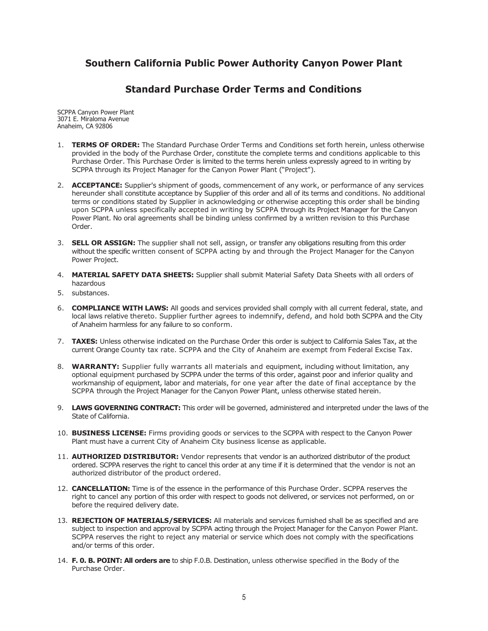#### **Southern California Public Power Authority Canyon Power Plant**

#### **Standard Purchase Order Terms and Conditions**

SCPPA Canyon Power Plant 3071 E. Miraloma Avenue Anaheim, CA 92806

- 1. **TERMS OF ORDER:** The Standard Purchase Order Terms and Conditions set forth herein, unless otherwise provided in the body of the Purchase Order, constitute the complete terms and conditions applicable to this Purchase Order. This Purchase Order is limited to the terms herein unless expressly agreed to in writing by SCPPA through its Project Manager for the Canyon Power Plant ("Project").
- 2. **ACCEPTANCE:** Supplier's shipment of goods, commencement of any work, or performance of any services hereunder shall constitute acceptance by Supplier of this order and all of its terms and conditions. No additional terms or conditions stated by Supplier in acknowledging or otherwise accepting this order shall be binding upon SCPPA unless specifically accepted in writing by SCPPA through its Project Manager for the Canyon Power Plant. No oral agreements shall be binding unless confirmed by a written revision to this Purchase Order.
- 3. **SELL OR ASSIGN:** The supplier shall not sell, assign, or transfer any obligations resulting from this order without the specific written consent of SCPPA acting by and through the Project Manager for the Canyon Power Project.
- 4. **MATERIAL SAFETY DATA SHEETS:** Supplier shall submit Material Safety Data Sheets with all orders of hazardous
- 5. substances.
- 6. **COMPLIANCE WITH LAWS:** All goods and services provided shall comply with all current federal, state, and local laws relative thereto. Supplier further agrees to indemnify, defend, and hold both SCPPA and the City of Anaheim harmless for any failure to so conform.
- 7. **TAXES:** Unless otherwise indicated on the Purchase Order this order is subject to California Sales Tax, at the current Orange County tax rate. SCPPA and the City of Anaheim are exempt from Federal Excise Tax.
- 8. **WARRANTY:** Supplier fully warrants all materials and equipment, including without limitation, any optional equipment purchased by SCPPA under the terms of this order, against poor and inferior quality and workmanship of equipment, labor and materials, for one year after the date of final acceptance by the SCPPA through the Project Manager for the Canyon Power Plant, unless otherwise stated herein.
- 9. **LAWS GOVERNING CONTRACT:** This order will be governed, administered and interpreted under the laws of the State of California.
- 10. **BUSINESS LICENSE:** Firms providing goods or services to the SCPPA with respect to the Canyon Power Plant must have a current City of Anaheim City business license as applicable.
- 11. **AUTHORIZED DISTRIBUTOR:** Vendor represents that vendor is an authorized distributor of the product ordered. SCPPA reserves the right to cancel this order at any time if it is determined that the vendor is not an authorized distributor of the product ordered.
- 12. **CANCELLATION:** Time is of the essence in the performance of this Purchase Order. SCPPA reserves the right to cancel any portion of this order with respect to goods not delivered, or services not performed, on or before the required delivery date.
- 13. **REJECTION OF MATERIALS/SERVICES:** All materials and services furnished shall be as specified and are subject to inspection and approval by SCPPA acting through the Project Manager for the Canyon Power Plant. SCPPA reserves the right to reject any material or service which does not comply with the specifications and/or terms of this order.
- 14. **F. 0. B. POINT: All orders are** to ship F.0.B. Destination, unless otherwise specified in the Body of the Purchase Order.